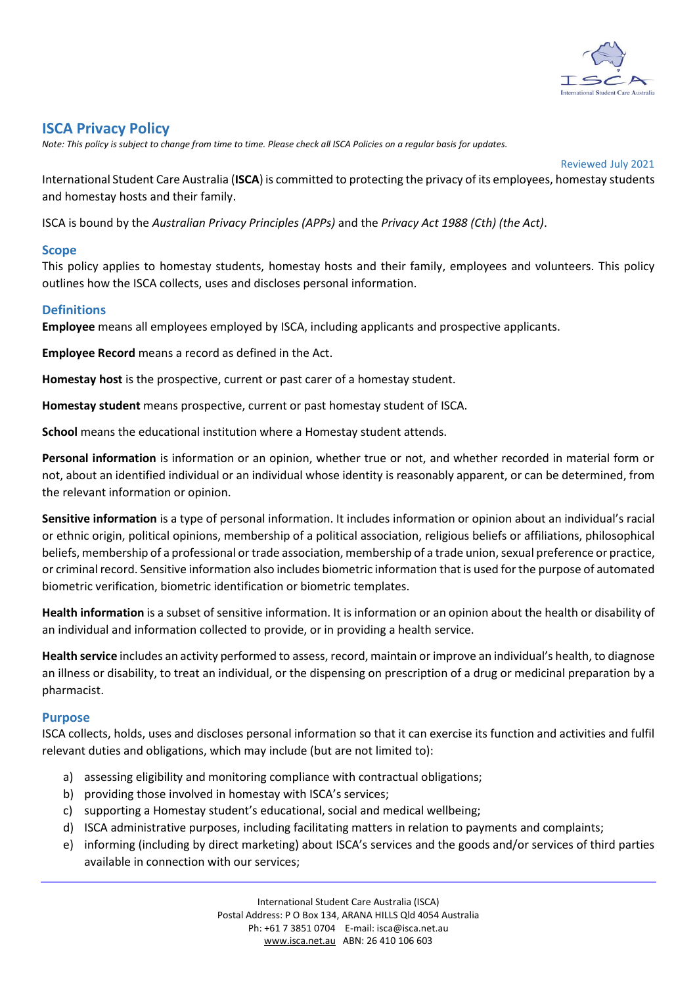

# **ISCA Privacy Policy**

*Note: This policy is subject to change from time to time. Please check all ISCA Policies on a regular basis for updates.*

Reviewed July 2021

International Student Care Australia (**ISCA**) is committed to protecting the privacy of its employees, homestay students and homestay hosts and their family.

ISCA is bound by the *Australian Privacy Principles (APPs)* and the *Privacy Act 1988 (Cth) (the Act)*.

#### **Scope**

This policy applies to homestay students, homestay hosts and their family, employees and volunteers. This policy outlines how the ISCA collects, uses and discloses personal information.

#### **Definitions**

**Employee** means all employees employed by ISCA, including applicants and prospective applicants.

**Employee Record** means a record as defined in the Act.

**Homestay host** is the prospective, current or past carer of a homestay student.

**Homestay student** means prospective, current or past homestay student of ISCA.

**School** means the educational institution where a Homestay student attends.

**Personal information** is information or an opinion, whether true or not, and whether recorded in material form or not, about an identified individual or an individual whose identity is reasonably apparent, or can be determined, from the relevant information or opinion.

**Sensitive information** is a type of personal information. It includes information or opinion about an individual's racial or ethnic origin, political opinions, membership of a political association, religious beliefs or affiliations, philosophical beliefs, membership of a professional or trade association, membership of a trade union, sexual preference or practice, or criminal record. Sensitive information also includes biometric information that is used for the purpose of automated biometric verification, biometric identification or biometric templates.

**Health information** is a subset of sensitive information. It is information or an opinion about the health or disability of an individual and information collected to provide, or in providing a health service.

**Health service** includes an activity performed to assess, record, maintain or improve an individual's health, to diagnose an illness or disability, to treat an individual, or the dispensing on prescription of a drug or medicinal preparation by a pharmacist.

#### **Purpose**

ISCA collects, holds, uses and discloses personal information so that it can exercise its function and activities and fulfil relevant duties and obligations, which may include (but are not limited to):

- a) assessing eligibility and monitoring compliance with contractual obligations;
- b) providing those involved in homestay with ISCA's services;
- c) supporting a Homestay student's educational, social and medical wellbeing;
- d) ISCA administrative purposes, including facilitating matters in relation to payments and complaints;
- e) informing (including by direct marketing) about ISCA's services and the goods and/or services of third parties available in connection with our services;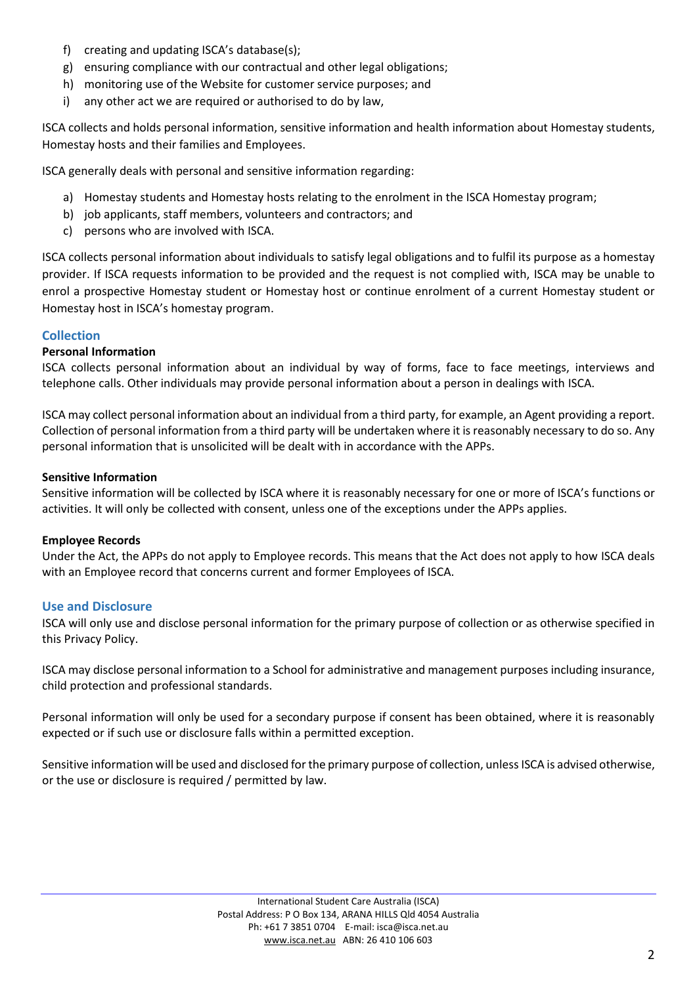- f) creating and updating ISCA's database(s);
- g) ensuring compliance with our contractual and other legal obligations;
- h) monitoring use of the Website for customer service purposes; and
- i) any other act we are required or authorised to do by law,

ISCA collects and holds personal information, sensitive information and health information about Homestay students, Homestay hosts and their families and Employees.

ISCA generally deals with personal and sensitive information regarding:

- a) Homestay students and Homestay hosts relating to the enrolment in the ISCA Homestay program;
- b) job applicants, staff members, volunteers and contractors; and
- c) persons who are involved with ISCA.

ISCA collects personal information about individuals to satisfy legal obligations and to fulfil its purpose as a homestay provider. If ISCA requests information to be provided and the request is not complied with, ISCA may be unable to enrol a prospective Homestay student or Homestay host or continue enrolment of a current Homestay student or Homestay host in ISCA's homestay program.

# **Collection**

# **Personal Information**

ISCA collects personal information about an individual by way of forms, face to face meetings, interviews and telephone calls. Other individuals may provide personal information about a person in dealings with ISCA.

ISCA may collect personal information about an individual from a third party, for example, an Agent providing a report. Collection of personal information from a third party will be undertaken where it is reasonably necessary to do so. Any personal information that is unsolicited will be dealt with in accordance with the APPs.

#### **Sensitive Information**

Sensitive information will be collected by ISCA where it is reasonably necessary for one or more of ISCA's functions or activities. It will only be collected with consent, unless one of the exceptions under the APPs applies.

# **Employee Records**

Under the Act, the APPs do not apply to Employee records. This means that the Act does not apply to how ISCA deals with an Employee record that concerns current and former Employees of ISCA.

# **Use and Disclosure**

ISCA will only use and disclose personal information for the primary purpose of collection or as otherwise specified in this Privacy Policy.

ISCA may disclose personal information to a School for administrative and management purposes including insurance, child protection and professional standards.

Personal information will only be used for a secondary purpose if consent has been obtained, where it is reasonably expected or if such use or disclosure falls within a permitted exception.

Sensitive information will be used and disclosed for the primary purpose of collection, unless ISCA is advised otherwise, or the use or disclosure is required / permitted by law.